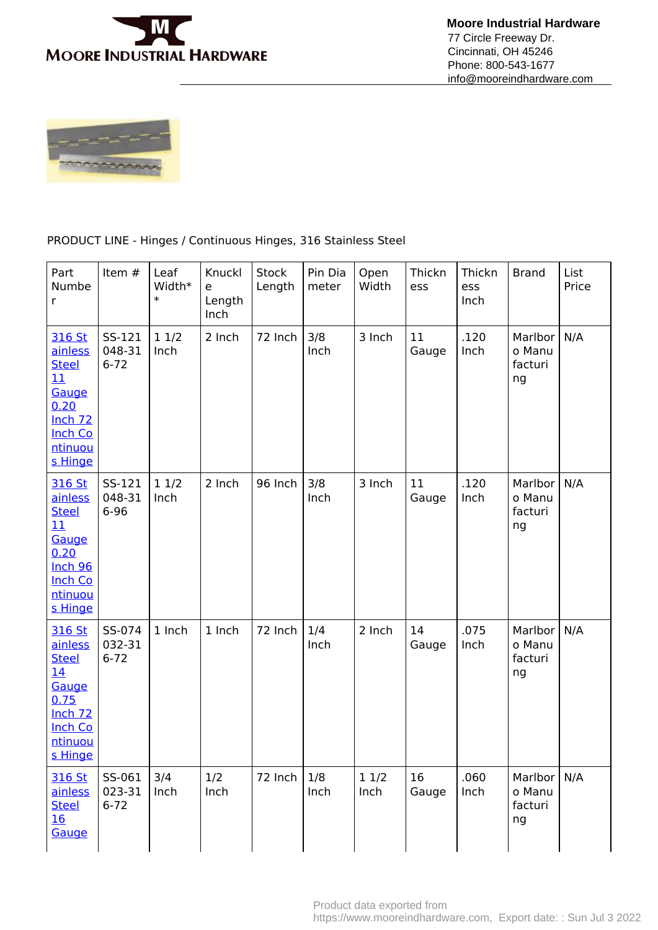

 **Moore Industrial Hardware** 77 Circle Freeway Dr. Cincinnati, OH 45246 Phone: 800-543-1677 info@mooreindhardware.com



## PRODUCT LINE - Hinges / Continuous Hinges, 316 Stainless Steel

| Part<br>Numbe<br>r                                                                                                     | Item #                       | Leaf<br>Width*<br>$\ast$ | Knuckl<br>e<br>Length<br>Inch | <b>Stock</b><br>Length | Pin Dia<br>meter | Open<br>Width | Thickn<br>ess | Thickn<br>ess<br>Inch | <b>Brand</b>                       | List<br>Price |
|------------------------------------------------------------------------------------------------------------------------|------------------------------|--------------------------|-------------------------------|------------------------|------------------|---------------|---------------|-----------------------|------------------------------------|---------------|
| 316 St<br>ainless<br><b>Steel</b><br>11<br>Gauge<br>0.20<br>Inch <sub>72</sub><br><b>Inch Co</b><br>ntinuou<br>s Hinge | SS-121<br>048-31<br>$6 - 72$ | 11/2<br>Inch             | 2 Inch                        | 72 Inch                | 3/8<br>Inch      | 3 Inch        | 11<br>Gauge   | .120<br>Inch          | Marlbor<br>o Manu<br>facturi<br>ng | N/A           |
| 316 St<br>ainless<br><b>Steel</b><br>11<br>Gauge<br>0.20<br><b>Inch 96</b><br><b>Inch Co</b><br>ntinuou<br>s Hinge     | SS-121<br>048-31<br>$6 - 96$ | 11/2<br>Inch             | 2 Inch                        | 96 Inch                | 3/8<br>Inch      | 3 Inch        | 11<br>Gauge   | .120<br>Inch          | Marlbor<br>o Manu<br>facturi<br>ng | N/A           |
| 316 St<br>ainless<br><b>Steel</b><br>14<br>Gauge<br>0.75<br><b>Inch 72</b><br><b>Inch Co</b><br>ntinuou<br>s Hinge     | SS-074<br>032-31<br>$6 - 72$ | 1 Inch                   | 1 Inch                        | 72 Inch                | 1/4<br>Inch      | 2 Inch        | 14<br>Gauge   | .075<br>Inch          | Marlbor<br>o Manu<br>facturi<br>ng | N/A           |
| 316 St<br>ainless<br><b>Steel</b><br>16<br>Gauge                                                                       | SS-061<br>023-31<br>$6 - 72$ | 3/4<br>Inch              | 1/2<br>Inch                   | 72 Inch                | 1/8<br>Inch      | 11/2<br>Inch  | 16<br>Gauge   | .060<br>Inch          | Marlbor<br>o Manu<br>facturi<br>ng | N/A           |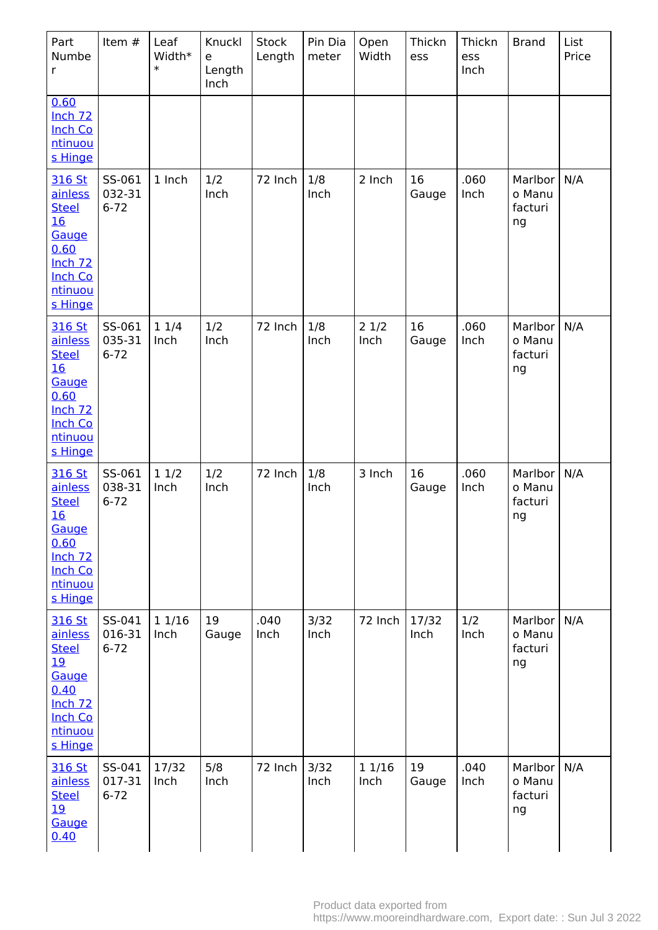| Part<br>Numbe<br>$\mathsf{r}$                                                                                                 | Item #                       | Leaf<br>Width*<br>$\ast$ | Knuckl<br>e<br>Length<br>Inch | Stock<br>Length | Pin Dia<br>meter | Open<br>Width  | Thickn<br>ess | Thickn<br>ess<br>Inch | <b>Brand</b>                       | List<br>Price |
|-------------------------------------------------------------------------------------------------------------------------------|------------------------------|--------------------------|-------------------------------|-----------------|------------------|----------------|---------------|-----------------------|------------------------------------|---------------|
| 0.60<br>Inch <sub>72</sub><br><b>Inch Co</b><br>ntinuou<br>s Hinge                                                            |                              |                          |                               |                 |                  |                |               |                       |                                    |               |
| 316 St<br>ainless<br><b>Steel</b><br>16<br>Gauge<br>0.60<br>Inch <sub>72</sub><br><b>Inch Co</b><br>ntinuou<br>s Hinge        | SS-061<br>032-31<br>$6 - 72$ | 1 Inch                   | 1/2<br>Inch                   | 72 Inch         | 1/8<br>Inch      | 2 Inch         | 16<br>Gauge   | .060<br>Inch          | Marlbor<br>o Manu<br>facturi<br>ng | N/A           |
| 316 St<br>ainless<br><b>Steel</b><br>16<br>Gauge<br>0.60<br>Inch $72$<br><b>Inch Co</b><br>ntinuou<br>s Hinge                 | SS-061<br>035-31<br>$6 - 72$ | 11/4<br>Inch             | 1/2<br>Inch                   | 72 Inch         | 1/8<br>Inch      | 21/2<br>Inch   | 16<br>Gauge   | .060<br>Inch          | Marlbor<br>o Manu<br>facturi<br>ng | N/A           |
| 316 St<br>ainless<br><b>Steel</b><br><u>16</u><br>Gauge<br>0.60<br>Inch <sub>72</sub><br><b>Inch Co</b><br>ntinuou<br>s Hinge | SS-061<br>038-31<br>$6 - 72$ | 11/2<br>Inch             | 1/2<br>Inch                   | 72 Inch         | 1/8<br>Inch      | 3 Inch         | 16<br>Gauge   | .060<br>Inch          | Marlbor<br>o Manu<br>facturi<br>ng | N/A           |
| 316 St<br>ainless<br><b>Steel</b><br><u>19</u><br>Gauge<br>0.40<br>Inch <sub>72</sub><br><b>Inch Co</b><br>ntinuou<br>s Hinge | SS-041<br>016-31<br>$6 - 72$ | 1 1/16<br>Inch           | 19<br>Gauge                   | .040<br>Inch    | 3/32<br>Inch     | 72 Inch        | 17/32<br>Inch | 1/2<br>Inch           | Marlbor<br>o Manu<br>facturi<br>ng | N/A           |
| 316 St<br>ainless<br><b>Steel</b><br>19<br>Gauge<br>0.40                                                                      | SS-041<br>017-31<br>$6 - 72$ | 17/32<br>Inch            | 5/8<br>Inch                   | 72 Inch         | 3/32<br>Inch     | 1 1/16<br>Inch | 19<br>Gauge   | .040<br>Inch          | Marlbor<br>o Manu<br>facturi<br>ng | N/A           |